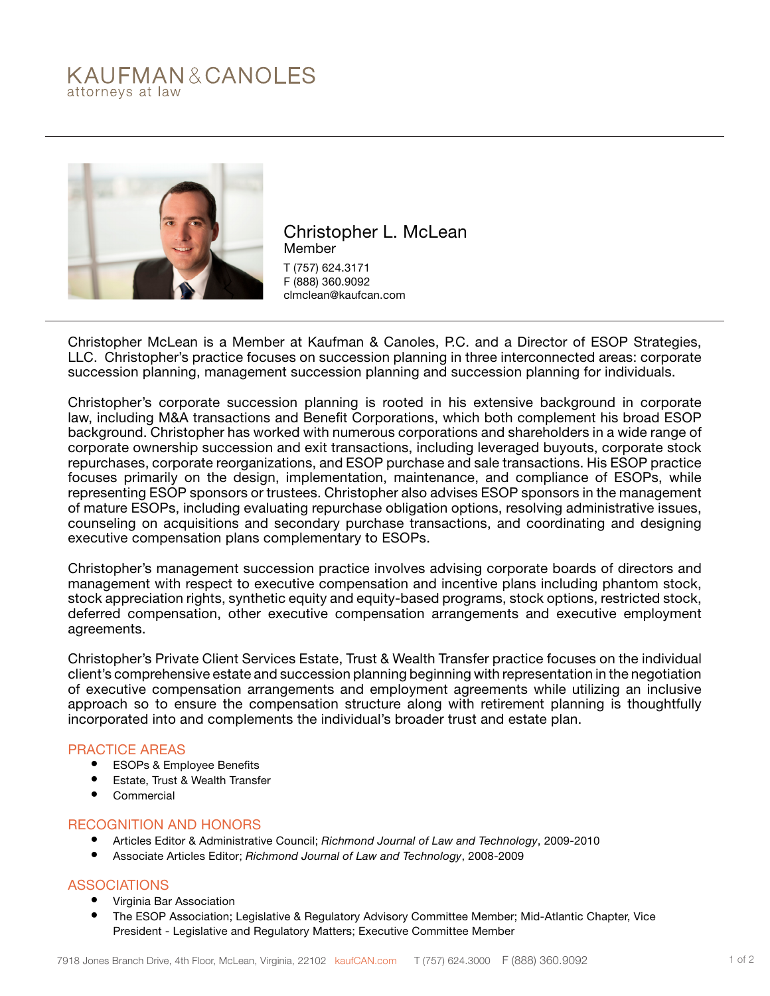# KAUFMAN&CANOLES attorneys at law



Christopher L. McLean Member T (757) 624.3171 F (888) 360.9092 clmclean@kaufcan.com

Christopher McLean is a Member at Kaufman & Canoles, P.C. and a Director of ESOP Strategies, LLC. Christopher's practice focuses on succession planning in three interconnected areas: corporate succession planning, management succession planning and succession planning for individuals.

Christopher's corporate succession planning is rooted in his extensive background in corporate law, including M&A transactions and Benefit Corporations, which both complement his broad ESOP background. Christopher has worked with numerous corporations and shareholders in a wide range of corporate ownership succession and exit transactions, including leveraged buyouts, corporate stock repurchases, corporate reorganizations, and ESOP purchase and sale transactions. His ESOP practice focuses primarily on the design, implementation, maintenance, and compliance of ESOPs, while representing ESOP sponsors or trustees. Christopher also advises ESOP sponsors in the management of mature ESOPs, including evaluating repurchase obligation options, resolving administrative issues, counseling on acquisitions and secondary purchase transactions, and coordinating and designing executive compensation plans complementary to ESOPs.

Christopher's management succession practice involves advising corporate boards of directors and management with respect to executive compensation and incentive plans including phantom stock, stock appreciation rights, synthetic equity and equity-based programs, stock options, restricted stock, deferred compensation, other executive compensation arrangements and executive employment agreements.

Christopher's Private Client Services Estate, Trust & Wealth Transfer practice focuses on the individual client's comprehensive estate and succession planning beginning with representation in the negotiation of executive compensation arrangements and employment agreements while utilizing an inclusive approach so to ensure the compensation structure along with retirement planning is thoughtfully incorporated into and complements the individual's broader trust and estate plan.

# PRACTICE AREAS

- ESOPs & Employee Benefits
- Estate, Trust & Wealth Transfer
- **Commercial**

# RECOGNITION AND HONORS

- Articles Editor & Administrative Council; *Richmond Journal of Law and Technology*, 2009-2010
- Associate Articles Editor; *Richmond Journal of Law and Technology*, 2008-2009

# ASSOCIATIONS

- Virginia Bar Association
- The ESOP Association; Legislative & Regulatory Advisory Committee Member; Mid-Atlantic Chapter, Vice President - Legislative and Regulatory Matters; Executive Committee Member